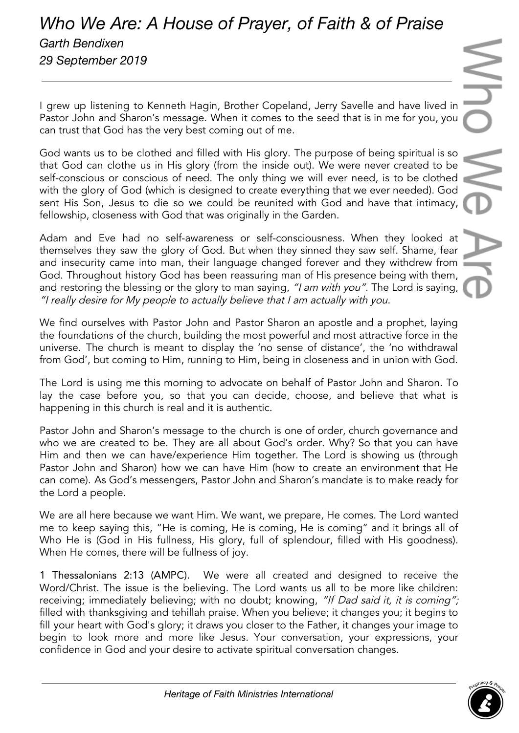## *Who We Are: A House of Prayer, of Faith & of Praise Garth Bendixen 29 September 2019*

I grew up listening to Kenneth Hagin, Brother Copeland, Jerry Savelle and have lived in Pastor John and Sharon's message. When it comes to the seed that is in me for you, you can trust that God has the very best coming out of me.

God wants us to be clothed and filled with His glory. The purpose of being spiritual is so that God can clothe us in His glory (from the inside out). We were never created to be self-conscious or conscious of need. The only thing we will ever need, is to be clothed with the glory of God (which is designed to create everything that we ever needed). God sent His Son, Jesus to die so we could be reunited with God and have that intimacy, fellowship, closeness with God that was originally in the Garden.

Adam and Eve had no self-awareness or self-consciousness. When they looked at themselves they saw the glory of God. But when they sinned they saw self. Shame, fear and insecurity came into man, their language changed forever and they withdrew from God. Throughout history God has been reassuring man of His presence being with them, and restoring the blessing or the glory to man saying, "I am with you". The Lord is saying, "I really desire for My people to actually believe that <sup>I</sup> am actually with you.

We find ourselves with Pastor John and Pastor Sharon an apostle and a prophet, laying the foundations of the church, building the most powerful and most attractive force in the universe. The church is meant to display the 'no sense of distance', the 'no withdrawal from God', but coming to Him, running to Him, being in closeness and in union with God.

The Lord is using me this morning to advocate on behalf of Pastor John and Sharon. To lay the case before you, so that you can decide, choose, and believe that what is happening in this church is real and it is authentic.

Pastor John and Sharon's message to the church is one of order, church governance and who we are created to be. They are all about God's order. Why? So that you can have Him and then we can have/experience Him together. The Lord is showing us (through Pastor John and Sharon) how we can have Him (how to create an environment that He can come). As God's messengers, Pastor John and Sharon's mandate is to make ready for the Lord a people.

We are all here because we want Him. We want, we prepare, He comes. The Lord wanted me to keep saying this, "He is coming, He is coming, He is coming" and it brings all of Who He is (God in His fullness, His glory, full of splendour, filled with His goodness). When He comes, there will be fullness of joy.

1 Thessalonians 2:13 (AMPC). We were all created and designed to receive the Word/Christ. The issue is the believing. The Lord wants us all to be more like children: receiving; immediately believing; with no doubt; knowing, "If Dad said it, it is coming"; filled with thanksgiving and tehillah praise. When you believe; it changes you; it begins to fill your heart with God's glory; it draws you closer to the Father, it changes your image to begin to look more and more like Jesus. Your conversation, your expressions, your confidence in God and your desire to activate spiritual conversation changes.